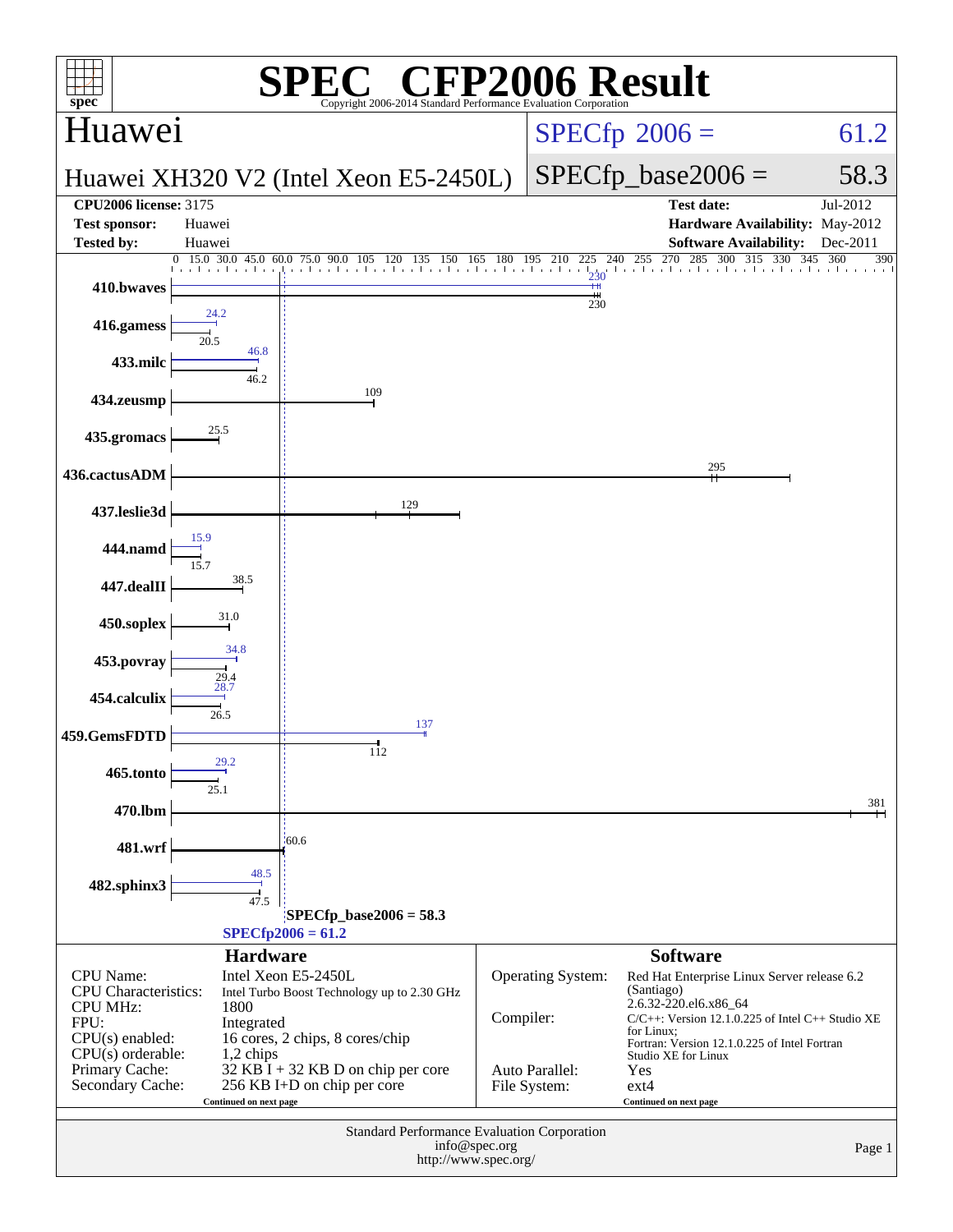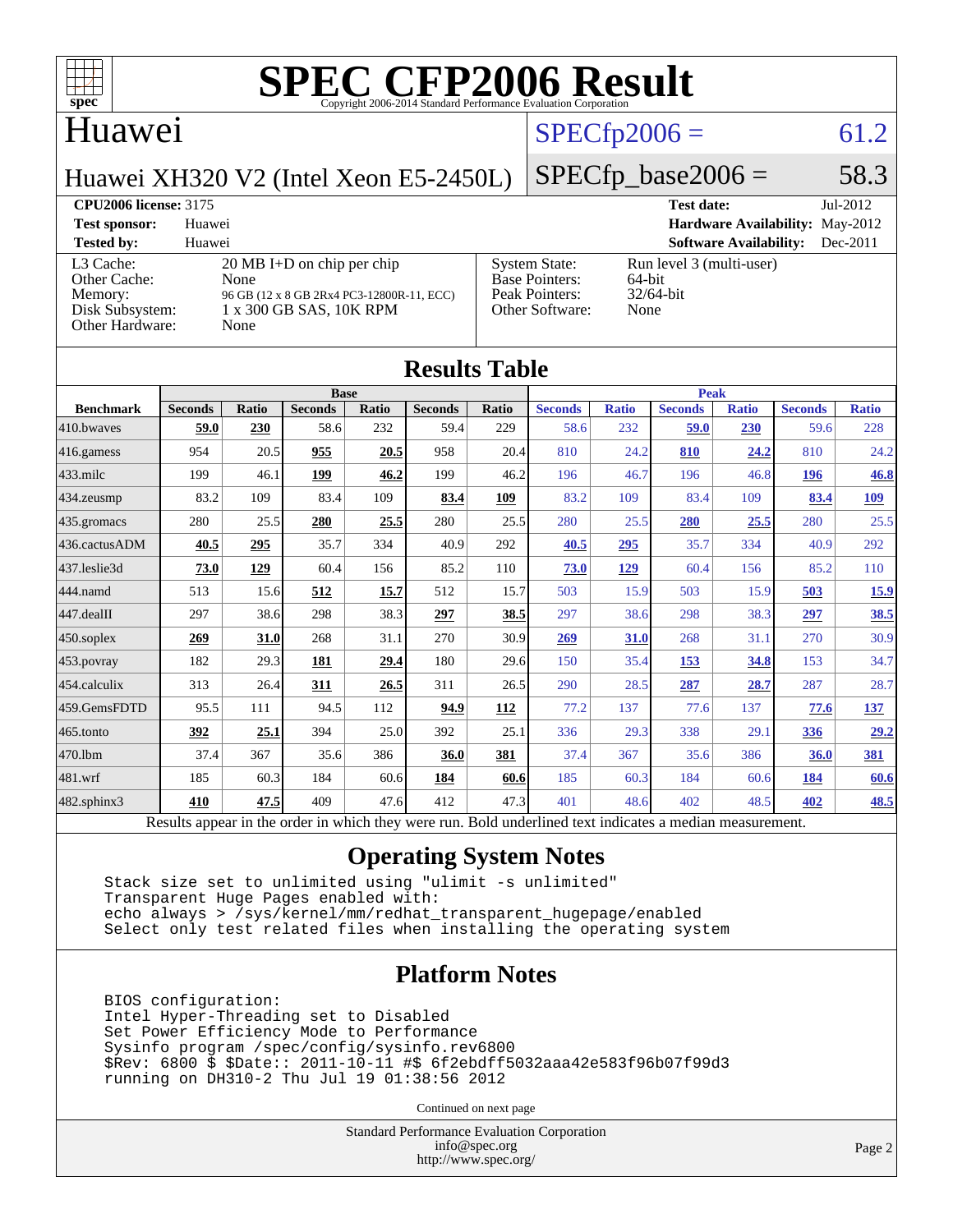

#### Huawei

[Other Cache:](http://www.spec.org/auto/cpu2006/Docs/result-fields.html#OtherCache)

## $SPECfp2006 = 61.2$  $SPECfp2006 = 61.2$

Huawei XH320 V2 (Intel Xeon E5-2450L)

[L3 Cache:](http://www.spec.org/auto/cpu2006/Docs/result-fields.html#L3Cache) 20 MB I+D on chip per chip<br>Other Cache: None

[Disk Subsystem:](http://www.spec.org/auto/cpu2006/Docs/result-fields.html#DiskSubsystem) 1 x 300 GB SAS, 10K RPM

[Memory:](http://www.spec.org/auto/cpu2006/Docs/result-fields.html#Memory) 96 GB (12 x 8 GB 2Rx4 PC3-12800R-11, ECC)

### $SPECfp\_base2006 = 58.3$

[Peak Pointers:](http://www.spec.org/auto/cpu2006/Docs/result-fields.html#PeakPointers)

[Other Software:](http://www.spec.org/auto/cpu2006/Docs/result-fields.html#OtherSoftware) None

[Other Hardware:](http://www.spec.org/auto/cpu2006/Docs/result-fields.html#OtherHardware) None

**[CPU2006 license:](http://www.spec.org/auto/cpu2006/Docs/result-fields.html#CPU2006license)** 3175 **[Test date:](http://www.spec.org/auto/cpu2006/Docs/result-fields.html#Testdate)** Jul-2012 **[Test sponsor:](http://www.spec.org/auto/cpu2006/Docs/result-fields.html#Testsponsor)** Huawei **[Hardware Availability:](http://www.spec.org/auto/cpu2006/Docs/result-fields.html#HardwareAvailability)** May-2012 **[Tested by:](http://www.spec.org/auto/cpu2006/Docs/result-fields.html#Testedby)** Huawei **[Software Availability:](http://www.spec.org/auto/cpu2006/Docs/result-fields.html#SoftwareAvailability)** Dec-2011 [System State:](http://www.spec.org/auto/cpu2006/Docs/result-fields.html#SystemState) Run level 3 (multi-user)<br>Base Pointers: 64-bit [Base Pointers:](http://www.spec.org/auto/cpu2006/Docs/result-fields.html#BasePointers) 64-bit<br>Peak Pointers: 32/64-bit

|                  |                |              |                                                                                                          |       | <b>Results Table</b> |       |                |              |                |              |                |              |
|------------------|----------------|--------------|----------------------------------------------------------------------------------------------------------|-------|----------------------|-------|----------------|--------------|----------------|--------------|----------------|--------------|
|                  | <b>Base</b>    |              |                                                                                                          |       | <b>Peak</b>          |       |                |              |                |              |                |              |
| <b>Benchmark</b> | <b>Seconds</b> | <b>Ratio</b> | <b>Seconds</b>                                                                                           | Ratio | <b>Seconds</b>       | Ratio | <b>Seconds</b> | <b>Ratio</b> | <b>Seconds</b> | <b>Ratio</b> | <b>Seconds</b> | <b>Ratio</b> |
| 410.bwayes       | 59.0           | 230          | 58.6                                                                                                     | 232   | 59.4                 | 229   | 58.6           | 232          | 59.0           | 230          | 59.6           | 228          |
| 416.gamess       | 954            | 20.5         | 955                                                                                                      | 20.5  | 958                  | 20.4  | 810            | 24.2         | 810            | 24.2         | 810            | 24.2         |
| 433.milc         | 199            | 46.1         | 199                                                                                                      | 46.2  | 199                  | 46.2  | 196            | 46.7         | 196            | 46.8         | 196            | 46.8         |
| 434.zeusmp       | 83.2           | 109          | 83.4                                                                                                     | 109   | 83.4                 | 109   | 83.2           | 109          | 83.4           | 109          | 83.4           | <u>109</u>   |
| 435.gromacs      | 280            | 25.5         | 280                                                                                                      | 25.5  | 280                  | 25.5  | 280            | 25.5         | 280            | 25.5         | 280            | 25.5         |
| 436.cactusADM    | 40.5           | 295          | 35.7                                                                                                     | 334   | 40.9                 | 292   | 40.5           | 295          | 35.7           | 334          | 40.9           | 292          |
| 437.leslie3d     | 73.0           | 129          | 60.4                                                                                                     | 156   | 85.2                 | 110   | 73.0           | 129          | 60.4           | 156          | 85.2           | 110          |
| 444.namd         | 513            | 15.6         | 512                                                                                                      | 15.7  | 512                  | 15.7  | 503            | 15.9         | 503            | 15.9         | 503            | 15.9         |
| 447.dealII       | 297            | 38.6         | 298                                                                                                      | 38.3  | 297                  | 38.5  | 297            | 38.6         | 298            | 38.3         | 297            | 38.5         |
| 450.soplex       | 269            | 31.0         | 268                                                                                                      | 31.1  | 270                  | 30.9  | 269            | 31.0         | 268            | 31.1         | 270            | 30.9         |
| 453.povray       | 182            | 29.3         | 181                                                                                                      | 29.4  | 180                  | 29.6  | 150            | 35.4         | 153            | 34.8         | 153            | 34.7         |
| 454.calculix     | 313            | 26.4         | 311                                                                                                      | 26.5  | 311                  | 26.5  | 290            | 28.5         | 287            | 28.7         | 287            | 28.7         |
| 459.GemsFDTD     | 95.5           | 111          | 94.5                                                                                                     | 112   | 94.9                 | 112   | 77.2           | 137          | 77.6           | 137          | 77.6           | <u>137</u>   |
| 465.tonto        | 392            | 25.1         | 394                                                                                                      | 25.0  | 392                  | 25.1  | 336            | 29.3         | 338            | 29.1         | 336            | 29.2         |
| 470.1bm          | 37.4           | 367          | 35.6                                                                                                     | 386   | 36.0                 | 381   | 37.4           | 367          | 35.6           | 386          | 36.0           | 381          |
| 481.wrf          | 185            | 60.3         | 184                                                                                                      | 60.6  | 184                  | 60.6  | 185            | 60.3         | 184            | 60.6         | 184            | 60.6         |
| 482.sphinx3      | 410            | 47.5         | 409                                                                                                      | 47.6  | 412                  | 47.3  | 401            | 48.6         | 402            | 48.5         | 402            | <u>48.5</u>  |
|                  |                |              | Results appear in the order in which they were run. Bold underlined text indicates a median measurement. |       |                      |       |                |              |                |              |                |              |

#### **[Operating System Notes](http://www.spec.org/auto/cpu2006/Docs/result-fields.html#OperatingSystemNotes)**

 Stack size set to unlimited using "ulimit -s unlimited" Transparent Huge Pages enabled with: echo always > /sys/kernel/mm/redhat\_transparent\_hugepage/enabled Select only test related files when installing the operating system

#### **[Platform Notes](http://www.spec.org/auto/cpu2006/Docs/result-fields.html#PlatformNotes)**

 BIOS configuration: Intel Hyper-Threading set to Disabled Set Power Efficiency Mode to Performance Sysinfo program /spec/config/sysinfo.rev6800 \$Rev: 6800 \$ \$Date:: 2011-10-11 #\$ 6f2ebdff5032aaa42e583f96b07f99d3 running on DH310-2 Thu Jul 19 01:38:56 2012

Continued on next page

Standard Performance Evaluation Corporation [info@spec.org](mailto:info@spec.org) <http://www.spec.org/>

Page 2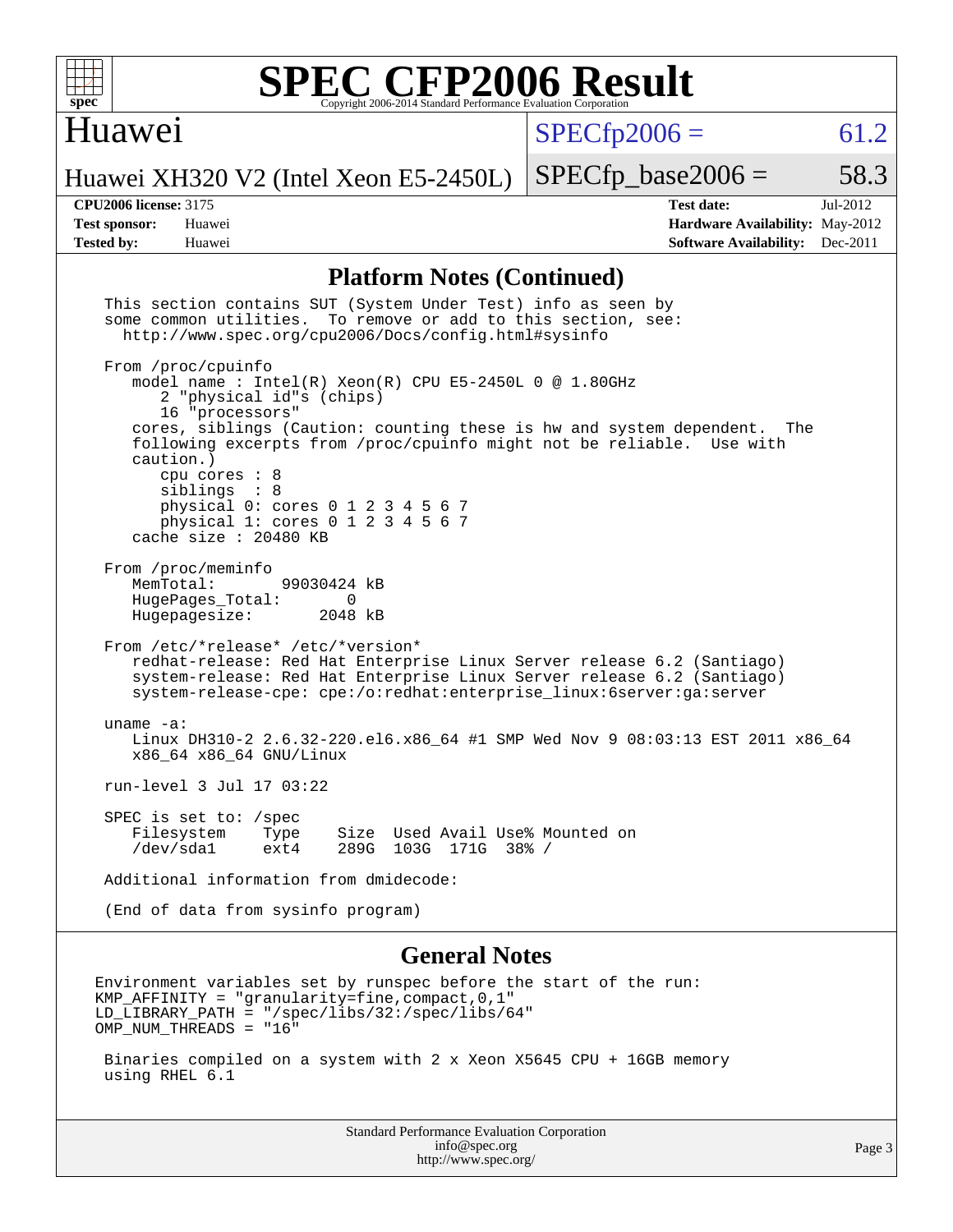

### Huawei

 $SPECfp2006 = 61.2$  $SPECfp2006 = 61.2$ 

Huawei XH320 V2 (Intel Xeon E5-2450L)

**[CPU2006 license:](http://www.spec.org/auto/cpu2006/Docs/result-fields.html#CPU2006license)** 3175 **[Test date:](http://www.spec.org/auto/cpu2006/Docs/result-fields.html#Testdate)** Jul-2012 **[Test sponsor:](http://www.spec.org/auto/cpu2006/Docs/result-fields.html#Testsponsor)** Huawei **[Hardware Availability:](http://www.spec.org/auto/cpu2006/Docs/result-fields.html#HardwareAvailability)** May-2012 **[Tested by:](http://www.spec.org/auto/cpu2006/Docs/result-fields.html#Testedby)** Huawei **[Software Availability:](http://www.spec.org/auto/cpu2006/Docs/result-fields.html#SoftwareAvailability)** Dec-2011

 $SPECTp\_base2006 = 58.3$ 

#### **[Platform Notes \(Continued\)](http://www.spec.org/auto/cpu2006/Docs/result-fields.html#PlatformNotes)**

| info@spec.org<br>http://www.spec.org/                                                                                                                                                                                                                                                   | Page 3                                             |
|-----------------------------------------------------------------------------------------------------------------------------------------------------------------------------------------------------------------------------------------------------------------------------------------|----------------------------------------------------|
| Binaries compiled on a system with 2 x Xeon X5645 CPU + 16GB memory<br>using RHEL 6.1                                                                                                                                                                                                   |                                                    |
| Environment variables set by runspec before the start of the run:<br>$KMP_AFFINITY = "granularity=fine, compact, 0, 1"$<br>$LD_LIBRARY_PATH = "/gpec/libs/32://spec/libs/64"$<br>OMP_NUM_THREADS = "16"                                                                                 |                                                    |
| <b>General Notes</b>                                                                                                                                                                                                                                                                    |                                                    |
| (End of data from sysinfo program)                                                                                                                                                                                                                                                      |                                                    |
| Additional information from dmidecode:                                                                                                                                                                                                                                                  |                                                    |
| SPEC is set to: /spec<br>Filesystem<br>Size Used Avail Use% Mounted on<br>Type<br>/dev/sda1<br>ext4<br>289G 103G 171G 38% /                                                                                                                                                             |                                                    |
| run-level 3 Jul 17 03:22                                                                                                                                                                                                                                                                |                                                    |
| uname $-a$ :<br>Linux DH310-2 2.6.32-220.el6.x86_64 #1 SMP Wed Nov 9 08:03:13 EST 2011 x86_64<br>x86_64 x86_64 GNU/Linux                                                                                                                                                                |                                                    |
| From /etc/*release* /etc/*version*<br>redhat-release: Red Hat Enterprise Linux Server release 6.2 (Santiago)<br>system-release: Red Hat Enterprise Linux Server release 6.2 (Santiago)<br>system-release-cpe: cpe:/o:redhat:enterprise_linux:6server:ga:server                          |                                                    |
| From /proc/meminfo<br>MemTotal:<br>99030424 kB<br>HugePages_Total: 0<br>Hugepagesize:<br>2048 kB                                                                                                                                                                                        |                                                    |
| caution.)<br>cpu cores $: 8$<br>siblings : 8<br>physical 0: cores 0 1 2 3 4 5 6 7<br>physical 1: cores 0 1 2 3 4 5 6 7<br>cache size $: 20480$ KB                                                                                                                                       |                                                    |
| From /proc/cpuinfo<br>model name: $Intel(R)$ Xeon $(R)$ CPU E5-2450L 0 @ 1.80GHz<br>2 "physical id"s (chips)<br>16 "processors"<br>cores, siblings (Caution: counting these is hw and system dependent.<br>The<br>following excerpts from /proc/cpuinfo might not be reliable. Use with |                                                    |
| This section contains SUT (System Under Test) info as seen by<br>some common utilities. To remove or add to this section, see:<br>http://www.spec.org/cpu2006/Docs/config.html#sysinfo                                                                                                  |                                                    |
|                                                                                                                                                                                                                                                                                         | <b>Standard Performance Evaluation Corporation</b> |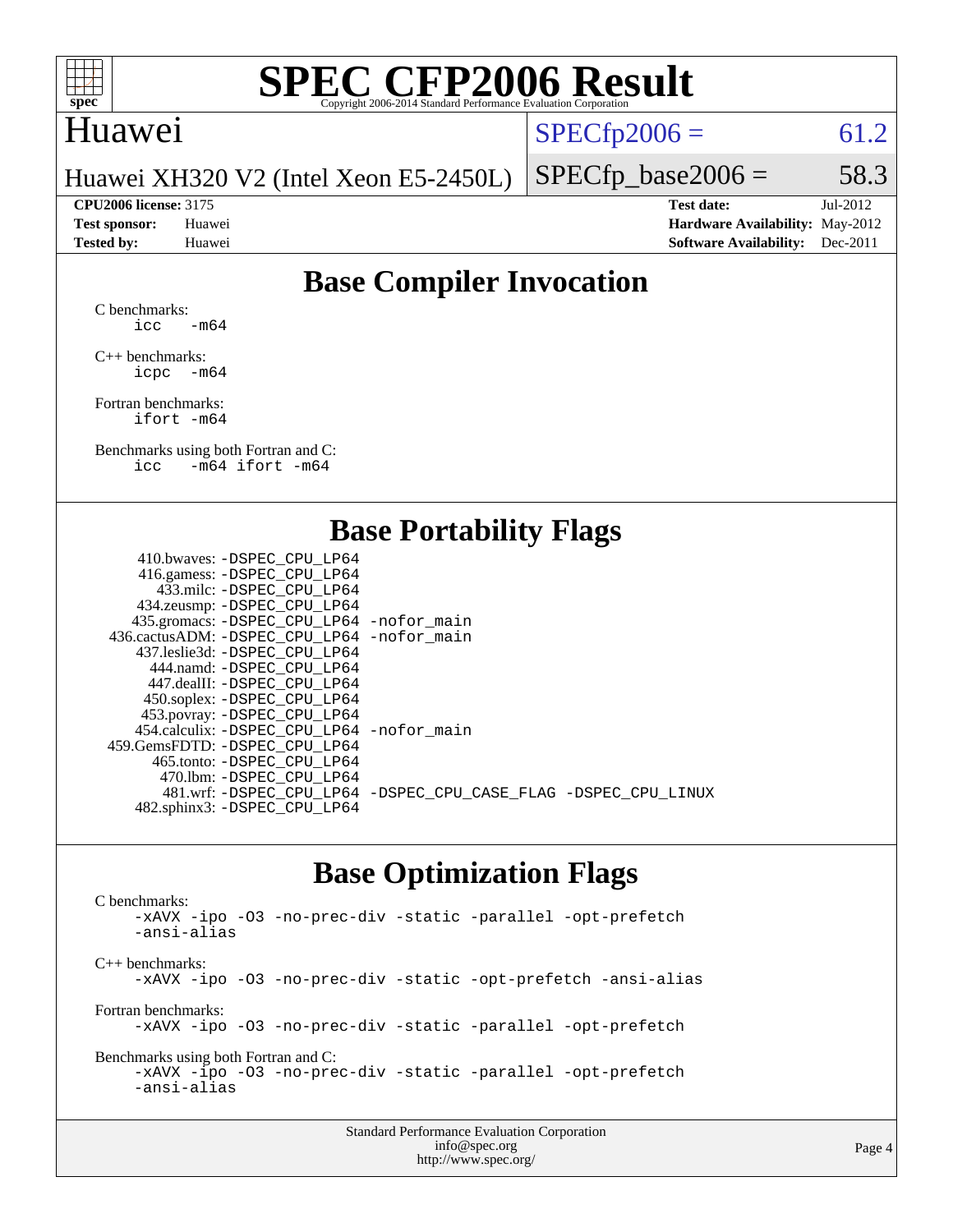

#### Huawei

 $SPECTp2006 = 61.2$ 

Huawei XH320 V2 (Intel Xeon E5-2450L)

**[CPU2006 license:](http://www.spec.org/auto/cpu2006/Docs/result-fields.html#CPU2006license)** 3175 **[Test date:](http://www.spec.org/auto/cpu2006/Docs/result-fields.html#Testdate)** Jul-2012 **[Test sponsor:](http://www.spec.org/auto/cpu2006/Docs/result-fields.html#Testsponsor)** Huawei **[Hardware Availability:](http://www.spec.org/auto/cpu2006/Docs/result-fields.html#HardwareAvailability)** May-2012 **[Tested by:](http://www.spec.org/auto/cpu2006/Docs/result-fields.html#Testedby)** Huawei **[Software Availability:](http://www.spec.org/auto/cpu2006/Docs/result-fields.html#SoftwareAvailability)** Dec-2011

 $SPECTp\_base2006 = 58.3$ 

#### **[Base Compiler Invocation](http://www.spec.org/auto/cpu2006/Docs/result-fields.html#BaseCompilerInvocation)**

[C benchmarks](http://www.spec.org/auto/cpu2006/Docs/result-fields.html#Cbenchmarks):  $\text{icc}$  -m64

[C++ benchmarks:](http://www.spec.org/auto/cpu2006/Docs/result-fields.html#CXXbenchmarks) [icpc -m64](http://www.spec.org/cpu2006/results/res2012q3/cpu2006-20120723-23812.flags.html#user_CXXbase_intel_icpc_64bit_bedb90c1146cab66620883ef4f41a67e)

[Fortran benchmarks](http://www.spec.org/auto/cpu2006/Docs/result-fields.html#Fortranbenchmarks): [ifort -m64](http://www.spec.org/cpu2006/results/res2012q3/cpu2006-20120723-23812.flags.html#user_FCbase_intel_ifort_64bit_ee9d0fb25645d0210d97eb0527dcc06e)

[Benchmarks using both Fortran and C](http://www.spec.org/auto/cpu2006/Docs/result-fields.html#BenchmarksusingbothFortranandC): [icc -m64](http://www.spec.org/cpu2006/results/res2012q3/cpu2006-20120723-23812.flags.html#user_CC_FCbase_intel_icc_64bit_0b7121f5ab7cfabee23d88897260401c) [ifort -m64](http://www.spec.org/cpu2006/results/res2012q3/cpu2006-20120723-23812.flags.html#user_CC_FCbase_intel_ifort_64bit_ee9d0fb25645d0210d97eb0527dcc06e)

#### **[Base Portability Flags](http://www.spec.org/auto/cpu2006/Docs/result-fields.html#BasePortabilityFlags)**

| 433.milc: -DSPEC CPU LP64<br>434.zeusmp: -DSPEC_CPU_LP64<br>435.gromacs: -DSPEC_CPU_LP64 -nofor_main<br>436.cactusADM: - DSPEC CPU LP64 - nofor main<br>437.leslie3d: -DSPEC CPU LP64<br>444.namd: -DSPEC CPU LP64<br>447.dealII: -DSPEC CPU LP64<br>450.soplex: -DSPEC_CPU_LP64<br>453.povray: -DSPEC_CPU_LP64<br>454.calculix: - DSPEC CPU LP64 - nofor main<br>459.GemsFDTD: - DSPEC_CPU LP64<br>465.tonto: - DSPEC CPU LP64<br>470.1bm: -DSPEC CPU LP64<br>481.wrf: -DSPEC_CPU_LP64 -DSPEC_CPU_CASE_FLAG -DSPEC_CPU_LINUX | 410.bwaves: -DSPEC CPU LP64  |  |
|-------------------------------------------------------------------------------------------------------------------------------------------------------------------------------------------------------------------------------------------------------------------------------------------------------------------------------------------------------------------------------------------------------------------------------------------------------------------------------------------------------------------------------|------------------------------|--|
|                                                                                                                                                                                                                                                                                                                                                                                                                                                                                                                               | 416.gamess: -DSPEC_CPU_LP64  |  |
|                                                                                                                                                                                                                                                                                                                                                                                                                                                                                                                               |                              |  |
|                                                                                                                                                                                                                                                                                                                                                                                                                                                                                                                               |                              |  |
|                                                                                                                                                                                                                                                                                                                                                                                                                                                                                                                               |                              |  |
|                                                                                                                                                                                                                                                                                                                                                                                                                                                                                                                               |                              |  |
|                                                                                                                                                                                                                                                                                                                                                                                                                                                                                                                               |                              |  |
|                                                                                                                                                                                                                                                                                                                                                                                                                                                                                                                               |                              |  |
|                                                                                                                                                                                                                                                                                                                                                                                                                                                                                                                               |                              |  |
|                                                                                                                                                                                                                                                                                                                                                                                                                                                                                                                               |                              |  |
|                                                                                                                                                                                                                                                                                                                                                                                                                                                                                                                               |                              |  |
|                                                                                                                                                                                                                                                                                                                                                                                                                                                                                                                               |                              |  |
|                                                                                                                                                                                                                                                                                                                                                                                                                                                                                                                               |                              |  |
|                                                                                                                                                                                                                                                                                                                                                                                                                                                                                                                               |                              |  |
|                                                                                                                                                                                                                                                                                                                                                                                                                                                                                                                               |                              |  |
|                                                                                                                                                                                                                                                                                                                                                                                                                                                                                                                               |                              |  |
|                                                                                                                                                                                                                                                                                                                                                                                                                                                                                                                               | 482.sphinx3: -DSPEC_CPU_LP64 |  |

#### **[Base Optimization Flags](http://www.spec.org/auto/cpu2006/Docs/result-fields.html#BaseOptimizationFlags)**

[C benchmarks](http://www.spec.org/auto/cpu2006/Docs/result-fields.html#Cbenchmarks): [-xAVX](http://www.spec.org/cpu2006/results/res2012q3/cpu2006-20120723-23812.flags.html#user_CCbase_f-xAVX) [-ipo](http://www.spec.org/cpu2006/results/res2012q3/cpu2006-20120723-23812.flags.html#user_CCbase_f-ipo) [-O3](http://www.spec.org/cpu2006/results/res2012q3/cpu2006-20120723-23812.flags.html#user_CCbase_f-O3) [-no-prec-div](http://www.spec.org/cpu2006/results/res2012q3/cpu2006-20120723-23812.flags.html#user_CCbase_f-no-prec-div) [-static](http://www.spec.org/cpu2006/results/res2012q3/cpu2006-20120723-23812.flags.html#user_CCbase_f-static) [-parallel](http://www.spec.org/cpu2006/results/res2012q3/cpu2006-20120723-23812.flags.html#user_CCbase_f-parallel) [-opt-prefetch](http://www.spec.org/cpu2006/results/res2012q3/cpu2006-20120723-23812.flags.html#user_CCbase_f-opt-prefetch) [-ansi-alias](http://www.spec.org/cpu2006/results/res2012q3/cpu2006-20120723-23812.flags.html#user_CCbase_f-ansi-alias) [C++ benchmarks:](http://www.spec.org/auto/cpu2006/Docs/result-fields.html#CXXbenchmarks) [-xAVX](http://www.spec.org/cpu2006/results/res2012q3/cpu2006-20120723-23812.flags.html#user_CXXbase_f-xAVX) [-ipo](http://www.spec.org/cpu2006/results/res2012q3/cpu2006-20120723-23812.flags.html#user_CXXbase_f-ipo) [-O3](http://www.spec.org/cpu2006/results/res2012q3/cpu2006-20120723-23812.flags.html#user_CXXbase_f-O3) [-no-prec-div](http://www.spec.org/cpu2006/results/res2012q3/cpu2006-20120723-23812.flags.html#user_CXXbase_f-no-prec-div) [-static](http://www.spec.org/cpu2006/results/res2012q3/cpu2006-20120723-23812.flags.html#user_CXXbase_f-static) [-opt-prefetch](http://www.spec.org/cpu2006/results/res2012q3/cpu2006-20120723-23812.flags.html#user_CXXbase_f-opt-prefetch) [-ansi-alias](http://www.spec.org/cpu2006/results/res2012q3/cpu2006-20120723-23812.flags.html#user_CXXbase_f-ansi-alias) [Fortran benchmarks](http://www.spec.org/auto/cpu2006/Docs/result-fields.html#Fortranbenchmarks): [-xAVX](http://www.spec.org/cpu2006/results/res2012q3/cpu2006-20120723-23812.flags.html#user_FCbase_f-xAVX) [-ipo](http://www.spec.org/cpu2006/results/res2012q3/cpu2006-20120723-23812.flags.html#user_FCbase_f-ipo) [-O3](http://www.spec.org/cpu2006/results/res2012q3/cpu2006-20120723-23812.flags.html#user_FCbase_f-O3) [-no-prec-div](http://www.spec.org/cpu2006/results/res2012q3/cpu2006-20120723-23812.flags.html#user_FCbase_f-no-prec-div) [-static](http://www.spec.org/cpu2006/results/res2012q3/cpu2006-20120723-23812.flags.html#user_FCbase_f-static) [-parallel](http://www.spec.org/cpu2006/results/res2012q3/cpu2006-20120723-23812.flags.html#user_FCbase_f-parallel) [-opt-prefetch](http://www.spec.org/cpu2006/results/res2012q3/cpu2006-20120723-23812.flags.html#user_FCbase_f-opt-prefetch) [Benchmarks using both Fortran and C](http://www.spec.org/auto/cpu2006/Docs/result-fields.html#BenchmarksusingbothFortranandC): [-xAVX](http://www.spec.org/cpu2006/results/res2012q3/cpu2006-20120723-23812.flags.html#user_CC_FCbase_f-xAVX) [-ipo](http://www.spec.org/cpu2006/results/res2012q3/cpu2006-20120723-23812.flags.html#user_CC_FCbase_f-ipo) [-O3](http://www.spec.org/cpu2006/results/res2012q3/cpu2006-20120723-23812.flags.html#user_CC_FCbase_f-O3) [-no-prec-div](http://www.spec.org/cpu2006/results/res2012q3/cpu2006-20120723-23812.flags.html#user_CC_FCbase_f-no-prec-div) [-static](http://www.spec.org/cpu2006/results/res2012q3/cpu2006-20120723-23812.flags.html#user_CC_FCbase_f-static) [-parallel](http://www.spec.org/cpu2006/results/res2012q3/cpu2006-20120723-23812.flags.html#user_CC_FCbase_f-parallel) [-opt-prefetch](http://www.spec.org/cpu2006/results/res2012q3/cpu2006-20120723-23812.flags.html#user_CC_FCbase_f-opt-prefetch) [-ansi-alias](http://www.spec.org/cpu2006/results/res2012q3/cpu2006-20120723-23812.flags.html#user_CC_FCbase_f-ansi-alias)

| <b>Standard Performance Evaluation Corporation</b> |  |
|----------------------------------------------------|--|
| info@spec.org                                      |  |
| http://www.spec.org/                               |  |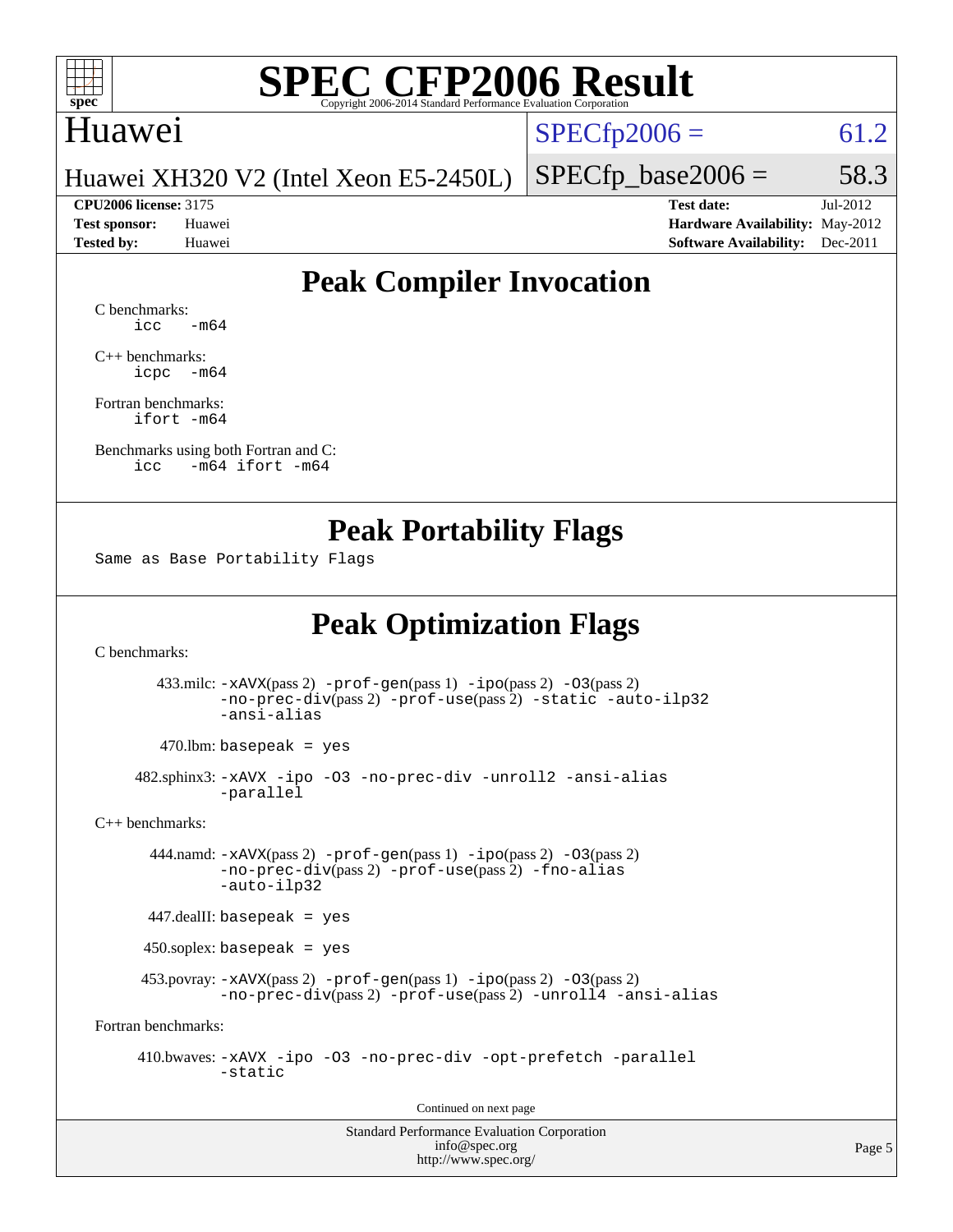

#### Huawei

 $SPECTp2006 = 61.2$ 

Huawei XH320 V2 (Intel Xeon E5-2450L)

**[CPU2006 license:](http://www.spec.org/auto/cpu2006/Docs/result-fields.html#CPU2006license)** 3175 **[Test date:](http://www.spec.org/auto/cpu2006/Docs/result-fields.html#Testdate)** Jul-2012 **[Test sponsor:](http://www.spec.org/auto/cpu2006/Docs/result-fields.html#Testsponsor)** Huawei **[Hardware Availability:](http://www.spec.org/auto/cpu2006/Docs/result-fields.html#HardwareAvailability)** May-2012 **[Tested by:](http://www.spec.org/auto/cpu2006/Docs/result-fields.html#Testedby)** Huawei **[Software Availability:](http://www.spec.org/auto/cpu2006/Docs/result-fields.html#SoftwareAvailability)** Dec-2011

 $SPECTp\_base2006 = 58.3$ 

### **[Peak Compiler Invocation](http://www.spec.org/auto/cpu2006/Docs/result-fields.html#PeakCompilerInvocation)**

[C benchmarks](http://www.spec.org/auto/cpu2006/Docs/result-fields.html#Cbenchmarks):  $\text{icc}$   $-\text{m64}$ 

[C++ benchmarks:](http://www.spec.org/auto/cpu2006/Docs/result-fields.html#CXXbenchmarks) [icpc -m64](http://www.spec.org/cpu2006/results/res2012q3/cpu2006-20120723-23812.flags.html#user_CXXpeak_intel_icpc_64bit_bedb90c1146cab66620883ef4f41a67e)

[Fortran benchmarks](http://www.spec.org/auto/cpu2006/Docs/result-fields.html#Fortranbenchmarks): [ifort -m64](http://www.spec.org/cpu2006/results/res2012q3/cpu2006-20120723-23812.flags.html#user_FCpeak_intel_ifort_64bit_ee9d0fb25645d0210d97eb0527dcc06e)

[Benchmarks using both Fortran and C](http://www.spec.org/auto/cpu2006/Docs/result-fields.html#BenchmarksusingbothFortranandC): [icc -m64](http://www.spec.org/cpu2006/results/res2012q3/cpu2006-20120723-23812.flags.html#user_CC_FCpeak_intel_icc_64bit_0b7121f5ab7cfabee23d88897260401c) [ifort -m64](http://www.spec.org/cpu2006/results/res2012q3/cpu2006-20120723-23812.flags.html#user_CC_FCpeak_intel_ifort_64bit_ee9d0fb25645d0210d97eb0527dcc06e)

#### **[Peak Portability Flags](http://www.spec.org/auto/cpu2006/Docs/result-fields.html#PeakPortabilityFlags)**

Same as Base Portability Flags

### **[Peak Optimization Flags](http://www.spec.org/auto/cpu2006/Docs/result-fields.html#PeakOptimizationFlags)**

[C benchmarks](http://www.spec.org/auto/cpu2006/Docs/result-fields.html#Cbenchmarks):

 433.milc: [-xAVX](http://www.spec.org/cpu2006/results/res2012q3/cpu2006-20120723-23812.flags.html#user_peakPASS2_CFLAGSPASS2_LDFLAGS433_milc_f-xAVX)(pass 2) [-prof-gen](http://www.spec.org/cpu2006/results/res2012q3/cpu2006-20120723-23812.flags.html#user_peakPASS1_CFLAGSPASS1_LDFLAGS433_milc_prof_gen_e43856698f6ca7b7e442dfd80e94a8fc)(pass 1) [-ipo](http://www.spec.org/cpu2006/results/res2012q3/cpu2006-20120723-23812.flags.html#user_peakPASS2_CFLAGSPASS2_LDFLAGS433_milc_f-ipo)(pass 2) [-O3](http://www.spec.org/cpu2006/results/res2012q3/cpu2006-20120723-23812.flags.html#user_peakPASS2_CFLAGSPASS2_LDFLAGS433_milc_f-O3)(pass 2) [-no-prec-div](http://www.spec.org/cpu2006/results/res2012q3/cpu2006-20120723-23812.flags.html#user_peakPASS2_CFLAGSPASS2_LDFLAGS433_milc_f-no-prec-div)(pass 2) [-prof-use](http://www.spec.org/cpu2006/results/res2012q3/cpu2006-20120723-23812.flags.html#user_peakPASS2_CFLAGSPASS2_LDFLAGS433_milc_prof_use_bccf7792157ff70d64e32fe3e1250b55)(pass 2) [-static](http://www.spec.org/cpu2006/results/res2012q3/cpu2006-20120723-23812.flags.html#user_peakOPTIMIZE433_milc_f-static) [-auto-ilp32](http://www.spec.org/cpu2006/results/res2012q3/cpu2006-20120723-23812.flags.html#user_peakCOPTIMIZE433_milc_f-auto-ilp32) [-ansi-alias](http://www.spec.org/cpu2006/results/res2012q3/cpu2006-20120723-23812.flags.html#user_peakCOPTIMIZE433_milc_f-ansi-alias)

 $470.$ lbm: basepeak = yes

 482.sphinx3: [-xAVX](http://www.spec.org/cpu2006/results/res2012q3/cpu2006-20120723-23812.flags.html#user_peakOPTIMIZE482_sphinx3_f-xAVX) [-ipo](http://www.spec.org/cpu2006/results/res2012q3/cpu2006-20120723-23812.flags.html#user_peakOPTIMIZE482_sphinx3_f-ipo) [-O3](http://www.spec.org/cpu2006/results/res2012q3/cpu2006-20120723-23812.flags.html#user_peakOPTIMIZE482_sphinx3_f-O3) [-no-prec-div](http://www.spec.org/cpu2006/results/res2012q3/cpu2006-20120723-23812.flags.html#user_peakOPTIMIZE482_sphinx3_f-no-prec-div) [-unroll2](http://www.spec.org/cpu2006/results/res2012q3/cpu2006-20120723-23812.flags.html#user_peakCOPTIMIZE482_sphinx3_f-unroll_784dae83bebfb236979b41d2422d7ec2) [-ansi-alias](http://www.spec.org/cpu2006/results/res2012q3/cpu2006-20120723-23812.flags.html#user_peakCOPTIMIZE482_sphinx3_f-ansi-alias) [-parallel](http://www.spec.org/cpu2006/results/res2012q3/cpu2006-20120723-23812.flags.html#user_peakCOPTIMIZE482_sphinx3_f-parallel)

[C++ benchmarks:](http://www.spec.org/auto/cpu2006/Docs/result-fields.html#CXXbenchmarks)

 444.namd: [-xAVX](http://www.spec.org/cpu2006/results/res2012q3/cpu2006-20120723-23812.flags.html#user_peakPASS2_CXXFLAGSPASS2_LDFLAGS444_namd_f-xAVX)(pass 2) [-prof-gen](http://www.spec.org/cpu2006/results/res2012q3/cpu2006-20120723-23812.flags.html#user_peakPASS1_CXXFLAGSPASS1_LDFLAGS444_namd_prof_gen_e43856698f6ca7b7e442dfd80e94a8fc)(pass 1) [-ipo](http://www.spec.org/cpu2006/results/res2012q3/cpu2006-20120723-23812.flags.html#user_peakPASS2_CXXFLAGSPASS2_LDFLAGS444_namd_f-ipo)(pass 2) [-O3](http://www.spec.org/cpu2006/results/res2012q3/cpu2006-20120723-23812.flags.html#user_peakPASS2_CXXFLAGSPASS2_LDFLAGS444_namd_f-O3)(pass 2) [-no-prec-div](http://www.spec.org/cpu2006/results/res2012q3/cpu2006-20120723-23812.flags.html#user_peakPASS2_CXXFLAGSPASS2_LDFLAGS444_namd_f-no-prec-div)(pass 2) [-prof-use](http://www.spec.org/cpu2006/results/res2012q3/cpu2006-20120723-23812.flags.html#user_peakPASS2_CXXFLAGSPASS2_LDFLAGS444_namd_prof_use_bccf7792157ff70d64e32fe3e1250b55)(pass 2) [-fno-alias](http://www.spec.org/cpu2006/results/res2012q3/cpu2006-20120723-23812.flags.html#user_peakCXXOPTIMIZEOPTIMIZE444_namd_f-no-alias_694e77f6c5a51e658e82ccff53a9e63a) [-auto-ilp32](http://www.spec.org/cpu2006/results/res2012q3/cpu2006-20120723-23812.flags.html#user_peakCXXOPTIMIZE444_namd_f-auto-ilp32)

447.dealII: basepeak = yes

450.soplex: basepeak = yes

 453.povray: [-xAVX](http://www.spec.org/cpu2006/results/res2012q3/cpu2006-20120723-23812.flags.html#user_peakPASS2_CXXFLAGSPASS2_LDFLAGS453_povray_f-xAVX)(pass 2) [-prof-gen](http://www.spec.org/cpu2006/results/res2012q3/cpu2006-20120723-23812.flags.html#user_peakPASS1_CXXFLAGSPASS1_LDFLAGS453_povray_prof_gen_e43856698f6ca7b7e442dfd80e94a8fc)(pass 1) [-ipo](http://www.spec.org/cpu2006/results/res2012q3/cpu2006-20120723-23812.flags.html#user_peakPASS2_CXXFLAGSPASS2_LDFLAGS453_povray_f-ipo)(pass 2) [-O3](http://www.spec.org/cpu2006/results/res2012q3/cpu2006-20120723-23812.flags.html#user_peakPASS2_CXXFLAGSPASS2_LDFLAGS453_povray_f-O3)(pass 2) [-no-prec-div](http://www.spec.org/cpu2006/results/res2012q3/cpu2006-20120723-23812.flags.html#user_peakPASS2_CXXFLAGSPASS2_LDFLAGS453_povray_f-no-prec-div)(pass 2) [-prof-use](http://www.spec.org/cpu2006/results/res2012q3/cpu2006-20120723-23812.flags.html#user_peakPASS2_CXXFLAGSPASS2_LDFLAGS453_povray_prof_use_bccf7792157ff70d64e32fe3e1250b55)(pass 2) [-unroll4](http://www.spec.org/cpu2006/results/res2012q3/cpu2006-20120723-23812.flags.html#user_peakCXXOPTIMIZE453_povray_f-unroll_4e5e4ed65b7fd20bdcd365bec371b81f) [-ansi-alias](http://www.spec.org/cpu2006/results/res2012q3/cpu2006-20120723-23812.flags.html#user_peakCXXOPTIMIZE453_povray_f-ansi-alias)

[Fortran benchmarks](http://www.spec.org/auto/cpu2006/Docs/result-fields.html#Fortranbenchmarks):

 410.bwaves: [-xAVX](http://www.spec.org/cpu2006/results/res2012q3/cpu2006-20120723-23812.flags.html#user_peakOPTIMIZE410_bwaves_f-xAVX) [-ipo](http://www.spec.org/cpu2006/results/res2012q3/cpu2006-20120723-23812.flags.html#user_peakOPTIMIZE410_bwaves_f-ipo) [-O3](http://www.spec.org/cpu2006/results/res2012q3/cpu2006-20120723-23812.flags.html#user_peakOPTIMIZE410_bwaves_f-O3) [-no-prec-div](http://www.spec.org/cpu2006/results/res2012q3/cpu2006-20120723-23812.flags.html#user_peakOPTIMIZE410_bwaves_f-no-prec-div) [-opt-prefetch](http://www.spec.org/cpu2006/results/res2012q3/cpu2006-20120723-23812.flags.html#user_peakOPTIMIZE410_bwaves_f-opt-prefetch) [-parallel](http://www.spec.org/cpu2006/results/res2012q3/cpu2006-20120723-23812.flags.html#user_peakOPTIMIZE410_bwaves_f-parallel) [-static](http://www.spec.org/cpu2006/results/res2012q3/cpu2006-20120723-23812.flags.html#user_peakOPTIMIZE410_bwaves_f-static)

Continued on next page

Standard Performance Evaluation Corporation [info@spec.org](mailto:info@spec.org) <http://www.spec.org/>

Page 5